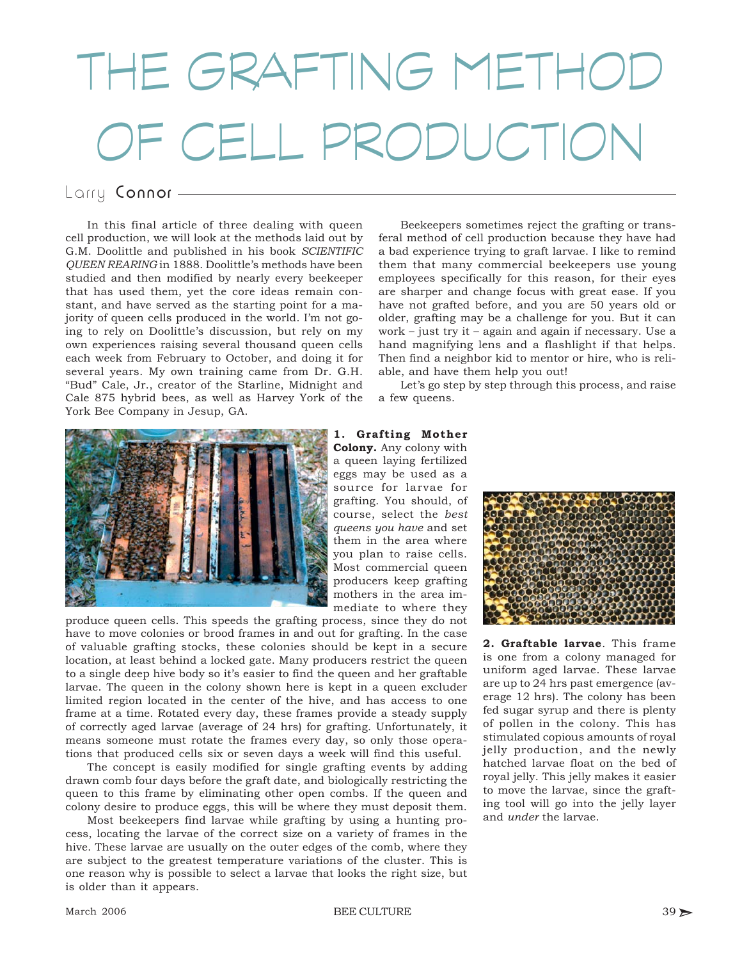## THE GRAFTING METHOD OF CELL PRODUCTION

## Larry Connor-

In this final article of three dealing with queen cell production, we will look at the methods laid out by G.M. Doolittle and published in his book *SCIENTIFIC QUEEN REARING* in 1888. Doolittle's methods have been studied and then modified by nearly every beekeeper that has used them, yet the core ideas remain constant, and have served as the starting point for a majority of queen cells produced in the world. I'm not going to rely on Doolittle's discussion, but rely on my own experiences raising several thousand queen cells each week from February to October, and doing it for several years. My own training came from Dr. G.H. "Bud" Cale, Jr., creator of the Starline, Midnight and Cale 875 hybrid bees, as well as Harvey York of the York Bee Company in Jesup, GA.

Beekeepers sometimes reject the grafting or transferal method of cell production because they have had a bad experience trying to graft larvae. I like to remind them that many commercial beekeepers use young employees specifically for this reason, for their eyes are sharper and change focus with great ease. If you have not grafted before, and you are 50 years old or older, grafting may be a challenge for you. But it can work – just try it – again and again if necessary. Use a hand magnifying lens and a flashlight if that helps. Then find a neighbor kid to mentor or hire, who is reliable, and have them help you out!

Let's go step by step through this process, and raise a few queens.



**1. Grafting Mother Colony.** Any colony with a queen laying fertilized eggs may be used as a source for larvae for grafting. You should, of course, select the *best queens you have* and set them in the area where you plan to raise cells. Most commercial queen producers keep grafting mothers in the area immediate to where they

produce queen cells. This speeds the grafting process, since they do not have to move colonies or brood frames in and out for grafting. In the case of valuable grafting stocks, these colonies should be kept in a secure location, at least behind a locked gate. Many producers restrict the queen to a single deep hive body so it's easier to find the queen and her graftable larvae. The queen in the colony shown here is kept in a queen excluder limited region located in the center of the hive, and has access to one frame at a time. Rotated every day, these frames provide a steady supply of correctly aged larvae (average of 24 hrs) for grafting. Unfortunately, it means someone must rotate the frames every day, so only those operations that produced cells six or seven days a week will find this useful.

The concept is easily modified for single grafting events by adding drawn comb four days before the graft date, and biologically restricting the queen to this frame by eliminating other open combs. If the queen and colony desire to produce eggs, this will be where they must deposit them.

Most beekeepers find larvae while grafting by using a hunting process, locating the larvae of the correct size on a variety of frames in the hive. These larvae are usually on the outer edges of the comb, where they are subject to the greatest temperature variations of the cluster. This is one reason why is possible to select a larvae that looks the right size, but is older than it appears.



**2. Graftable larvae**. This frame is one from a colony managed for uniform aged larvae. These larvae are up to 24 hrs past emergence (average 12 hrs). The colony has been fed sugar syrup and there is plenty of pollen in the colony. This has stimulated copious amounts of royal jelly production, and the newly hatched larvae float on the bed of royal jelly. This jelly makes it easier to move the larvae, since the grafting tool will go into the jelly layer and *under* the larvae.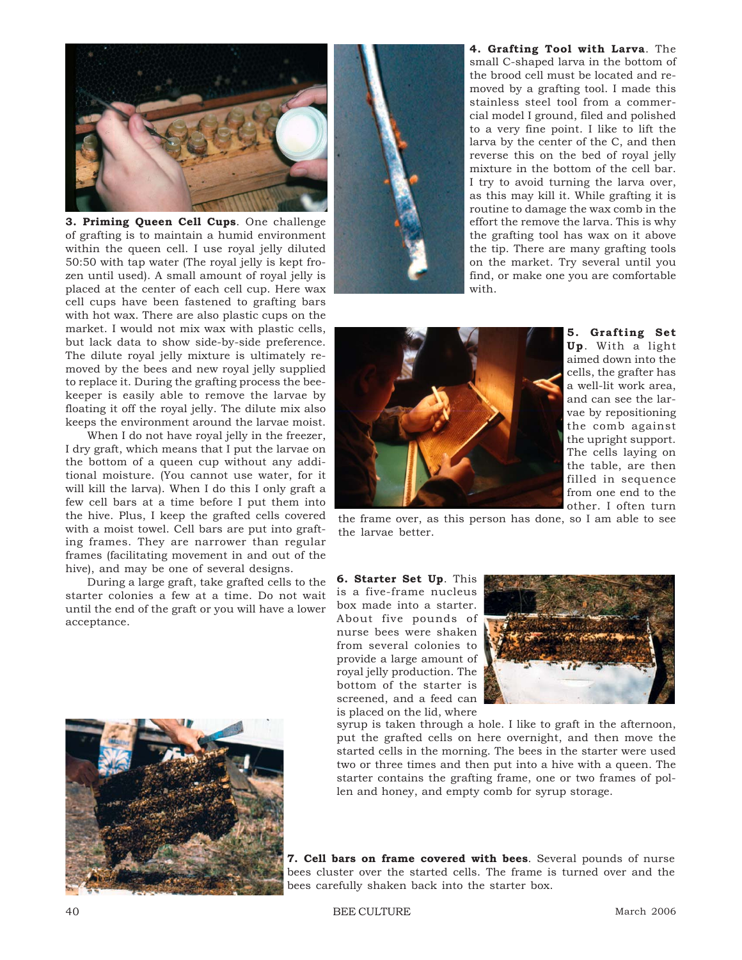

**3. Priming Queen Cell Cups**. One challenge of grafting is to maintain a humid environment within the queen cell. I use royal jelly diluted 50:50 with tap water (The royal jelly is kept frozen until used). A small amount of royal jelly is placed at the center of each cell cup. Here wax cell cups have been fastened to grafting bars with hot wax. There are also plastic cups on the market. I would not mix wax with plastic cells, but lack data to show side-by-side preference. The dilute royal jelly mixture is ultimately removed by the bees and new royal jelly supplied to replace it. During the grafting process the beekeeper is easily able to remove the larvae by floating it off the royal jelly. The dilute mix also keeps the environment around the larvae moist.

When I do not have royal jelly in the freezer, I dry graft, which means that I put the larvae on the bottom of a queen cup without any additional moisture. (You cannot use water, for it will kill the larva). When I do this I only graft a few cell bars at a time before I put them into the hive. Plus, I keep the grafted cells covered with a moist towel. Cell bars are put into grafting frames. They are narrower than regular frames (facilitating movement in and out of the hive), and may be one of several designs.

During a large graft, take grafted cells to the starter colonies a few at a time. Do not wait until the end of the graft or you will have a lower acceptance.





**4. Grafting Tool with Larva**. The small C-shaped larva in the bottom of the brood cell must be located and removed by a grafting tool. I made this stainless steel tool from a commercial model I ground, filed and polished to a very fine point. I like to lift the larva by the center of the C, and then reverse this on the bed of royal jelly mixture in the bottom of the cell bar. I try to avoid turning the larva over, as this may kill it. While grafting it is routine to damage the wax comb in the effort the remove the larva. This is why the grafting tool has wax on it above the tip. There are many grafting tools on the market. Try several until you find, or make one you are comfortable with.



**5. Grafting Set Up**. With a light aimed down into the cells, the grafter has a well-lit work area, and can see the larvae by repositioning the comb against the upright support. The cells laying on the table, are then filled in sequence from one end to the other. I often turn

the frame over, as this person has done, so I am able to see the larvae better.

**6. Starter Set Up**. This is a five-frame nucleus box made into a starter. About five pounds of nurse bees were shaken from several colonies to provide a large amount of royal jelly production. The bottom of the starter is screened, and a feed can is placed on the lid, where



syrup is taken through a hole. I like to graft in the afternoon, put the grafted cells on here overnight, and then move the started cells in the morning. The bees in the starter were used two or three times and then put into a hive with a queen. The starter contains the grafting frame, one or two frames of pollen and honey, and empty comb for syrup storage.

**7. Cell bars on frame covered with bees**. Several pounds of nurse bees cluster over the started cells. The frame is turned over and the bees carefully shaken back into the starter box.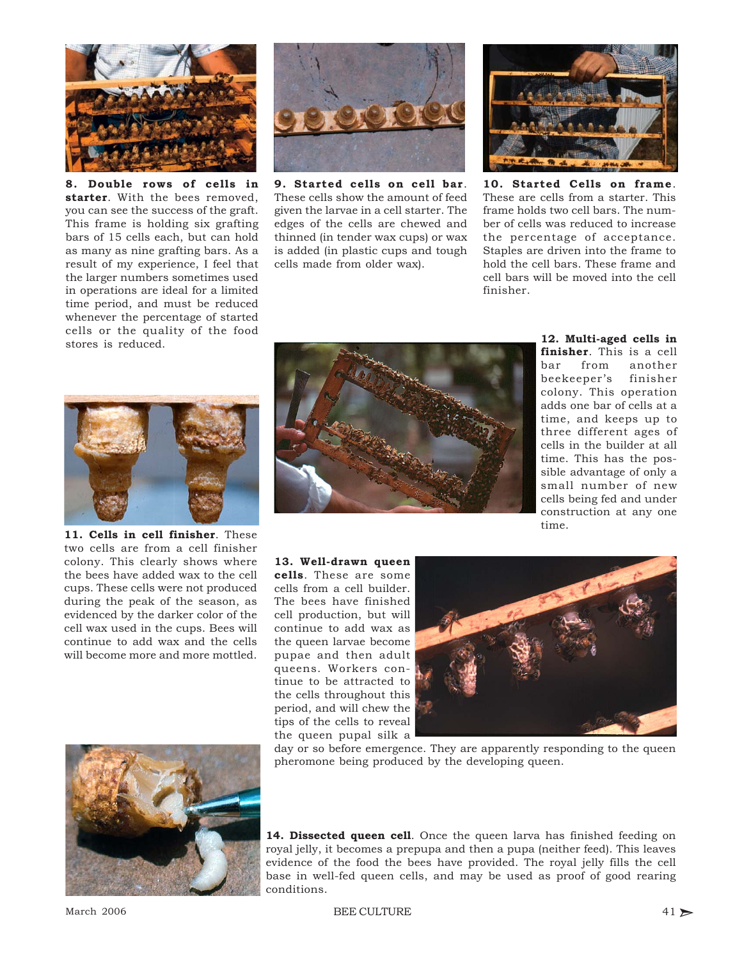

**8. Double rows of cells in starter**. With the bees removed, you can see the success of the graft. This frame is holding six grafting bars of 15 cells each, but can hold as many as nine grafting bars. As a result of my experience, I feel that the larger numbers sometimes used in operations are ideal for a limited time period, and must be reduced whenever the percentage of started cells or the quality of the food stores is reduced.



**9. Started cells on cell bar**. These cells show the amount of feed given the larvae in a cell starter. The edges of the cells are chewed and thinned (in tender wax cups) or wax is added (in plastic cups and tough cells made from older wax).



**10. Started Cells on frame**. These are cells from a starter. This frame holds two cell bars. The number of cells was reduced to increase the percentage of acceptance. Staples are driven into the frame to hold the cell bars. These frame and cell bars will be moved into the cell finisher.



**11. Cells in cell finisher**. These two cells are from a cell finisher colony. This clearly shows where the bees have added wax to the cell cups. These cells were not produced during the peak of the season, as evidenced by the darker color of the cell wax used in the cups. Bees will continue to add wax and the cells will become more and more mottled.



**12. Multi-aged cells in finisher**. This is a cell bar from another beekeeper's finisher colony. This operation adds one bar of cells at a time, and keeps up to three different ages of cells in the builder at all time. This has the possible advantage of only a small number of new cells being fed and under construction at any one time.

**13. Well-drawn queen cells**. These are some cells from a cell builder. The bees have finished cell production, but will continue to add wax as the queen larvae become pupae and then adult queens. Workers continue to be attracted to the cells throughout this period, and will chew the tips of the cells to reveal the queen pupal silk a



day or so before emergence. They are apparently responding to the queen pheromone being produced by the developing queen.



**14. Dissected queen cell**. Once the queen larva has finished feeding on royal jelly, it becomes a prepupa and then a pupa (neither feed). This leaves evidence of the food the bees have provided. The royal jelly fills the cell base in well-fed queen cells, and may be used as proof of good rearing conditions.